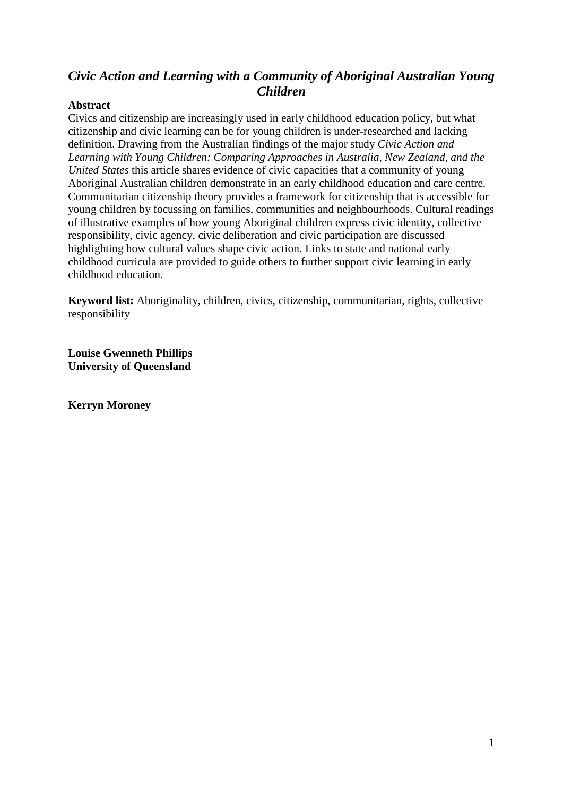# *Civic Action and Learning with a Community of Aboriginal Australian Young Children*

## **Abstract**

Civics and citizenship are increasingly used in early childhood education policy, but what citizenship and civic learning can be for young children is under-researched and lacking definition. Drawing from the Australian findings of the major study *Civic Action and Learning with Young Children: Comparing Approaches in Australia, New Zealand, and the United States* this article shares evidence of civic capacities that a community of young Aboriginal Australian children demonstrate in an early childhood education and care centre. Communitarian citizenship theory provides a framework for citizenship that is accessible for young children by focussing on families, communities and neighbourhoods. Cultural readings of illustrative examples of how young Aboriginal children express civic identity, collective responsibility, civic agency, civic deliberation and civic participation are discussed highlighting how cultural values shape civic action. Links to state and national early childhood curricula are provided to guide others to further support civic learning in early childhood education.

**Keyword list:** Aboriginality, children, civics, citizenship, communitarian, rights, collective responsibility

**Louise Gwenneth Phillips University of Queensland**

**Kerryn Moroney**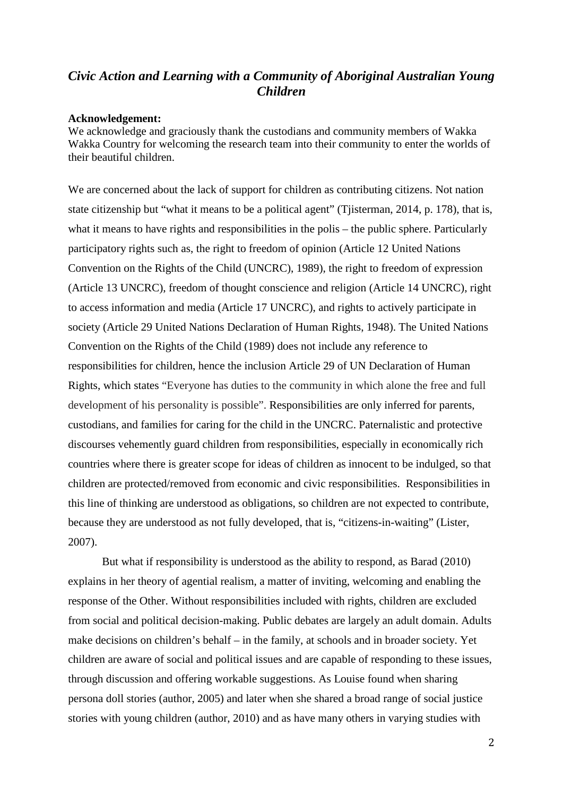## *Civic Action and Learning with a Community of Aboriginal Australian Young Children*

#### **Acknowledgement:**

We acknowledge and graciously thank the custodians and community members of Wakka Wakka Country for welcoming the research team into their community to enter the worlds of their beautiful children.

We are concerned about the lack of support for children as contributing citizens. Not nation state citizenship but "what it means to be a political agent" (Tjisterman, 2014, p. 178), that is, what it means to have rights and responsibilities in the polis – the public sphere. Particularly participatory rights such as, the right to freedom of opinion (Article 12 United Nations Convention on the Rights of the Child (UNCRC), 1989), the right to freedom of expression (Article 13 UNCRC), freedom of thought conscience and religion (Article 14 UNCRC), right to access information and media (Article 17 UNCRC), and rights to actively participate in society (Article 29 United Nations Declaration of Human Rights, 1948). The United Nations Convention on the Rights of the Child (1989) does not include any reference to responsibilities for children, hence the inclusion Article 29 of UN Declaration of Human Rights, which states "Everyone has duties to the community in which alone the free and full development of his personality is possible". Responsibilities are only inferred for parents, custodians, and families for caring for the child in the UNCRC. Paternalistic and protective discourses vehemently guard children from responsibilities, especially in economically rich countries where there is greater scope for ideas of children as innocent to be indulged, so that children are protected/removed from economic and civic responsibilities. Responsibilities in this line of thinking are understood as obligations, so children are not expected to contribute, because they are understood as not fully developed, that is, "citizens-in-waiting" (Lister, 2007).

But what if responsibility is understood as the ability to respond, as Barad (2010) explains in her theory of agential realism, a matter of inviting, welcoming and enabling the response of the Other. Without responsibilities included with rights, children are excluded from social and political decision-making. Public debates are largely an adult domain. Adults make decisions on children's behalf – in the family, at schools and in broader society. Yet children are aware of social and political issues and are capable of responding to these issues, through discussion and offering workable suggestions. As Louise found when sharing persona doll stories (author, 2005) and later when she shared a broad range of social justice stories with young children (author, 2010) and as have many others in varying studies with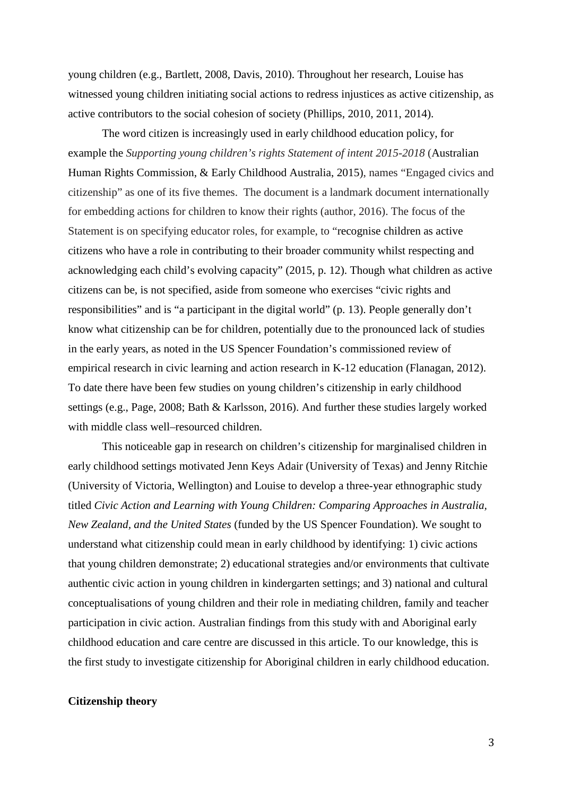young children (e.g., Bartlett, 2008, Davis, 2010). Throughout her research, Louise has witnessed young children initiating social actions to redress injustices as active citizenship, as active contributors to the social cohesion of society (Phillips, 2010, 2011, 2014).

The word citizen is increasingly used in early childhood education policy, for example the *Supporting young children's rights Statement of intent 2015-2018* (Australian Human Rights Commission, & Early Childhood Australia, 2015), names "Engaged civics and citizenship" as one of its five themes. The document is a landmark document internationally for embedding actions for children to know their rights (author, 2016). The focus of the Statement is on specifying educator roles, for example, to "recognise children as active citizens who have a role in contributing to their broader community whilst respecting and acknowledging each child's evolving capacity" (2015, p. 12). Though what children as active citizens can be, is not specified, aside from someone who exercises "civic rights and responsibilities" and is "a participant in the digital world" (p. 13). People generally don't know what citizenship can be for children, potentially due to the pronounced lack of studies in the early years, as noted in the US Spencer Foundation's commissioned review of empirical research in civic learning and action research in K-12 education (Flanagan, 2012). To date there have been few studies on young children's citizenship in early childhood settings (e.g., Page, 2008; Bath & Karlsson, 2016). And further these studies largely worked with middle class well–resourced children.

This noticeable gap in research on children's citizenship for marginalised children in early childhood settings motivated Jenn Keys Adair (University of Texas) and Jenny Ritchie (University of Victoria, Wellington) and Louise to develop a three-year ethnographic study titled *Civic Action and Learning with Young Children: Comparing Approaches in Australia, New Zealand, and the United States* (funded by the US Spencer Foundation). We sought to understand what citizenship could mean in early childhood by identifying: 1) civic actions that young children demonstrate; 2) educational strategies and/or environments that cultivate authentic civic action in young children in kindergarten settings; and 3) national and cultural conceptualisations of young children and their role in mediating children, family and teacher participation in civic action. Australian findings from this study with and Aboriginal early childhood education and care centre are discussed in this article. To our knowledge, this is the first study to investigate citizenship for Aboriginal children in early childhood education.

#### **Citizenship theory**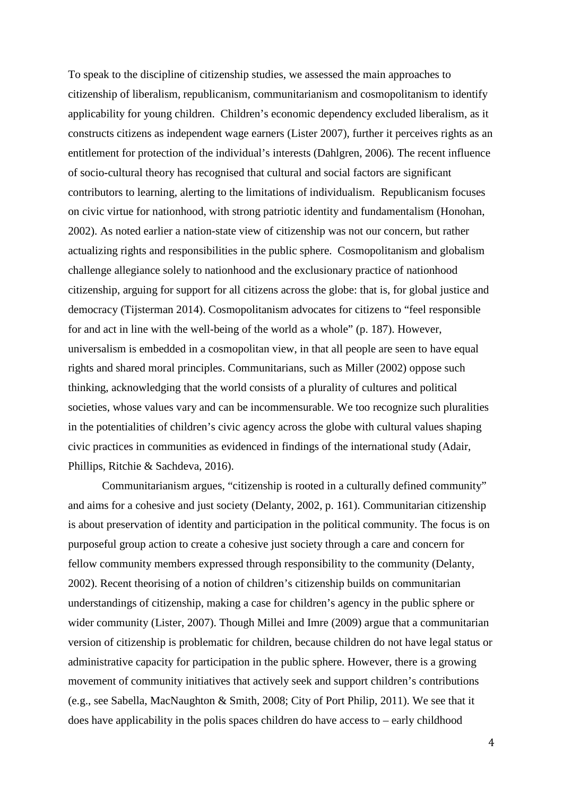To speak to the discipline of citizenship studies, we assessed the main approaches to citizenship of liberalism, republicanism, communitarianism and cosmopolitanism to identify applicability for young children. Children's economic dependency excluded liberalism, as it constructs citizens as independent wage earners (Lister 2007), further it perceives rights as an entitlement for protection of the individual's interests (Dahlgren, 2006)*.* The recent influence of socio-cultural theory has recognised that cultural and social factors are significant contributors to learning, alerting to the limitations of individualism. Republicanism focuses on civic virtue for nationhood, with strong patriotic identity and fundamentalism (Honohan, 2002). As noted earlier a nation-state view of citizenship was not our concern, but rather actualizing rights and responsibilities in the public sphere. Cosmopolitanism and globalism challenge allegiance solely to nationhood and the exclusionary practice of nationhood citizenship, arguing for support for all citizens across the globe: that is, for global justice and democracy (Tijsterman 2014). Cosmopolitanism advocates for citizens to "feel responsible for and act in line with the well-being of the world as a whole" (p. 187). However, universalism is embedded in a cosmopolitan view, in that all people are seen to have equal rights and shared moral principles. Communitarians, such as Miller (2002) oppose such thinking, acknowledging that the world consists of a plurality of cultures and political societies, whose values vary and can be incommensurable. We too recognize such pluralities in the potentialities of children's civic agency across the globe with cultural values shaping civic practices in communities as evidenced in findings of the international study (Adair, Phillips, Ritchie & Sachdeva, 2016).

Communitarianism argues, "citizenship is rooted in a culturally defined community" and aims for a cohesive and just society (Delanty, 2002, p. 161). Communitarian citizenship is about preservation of identity and participation in the political community. The focus is on purposeful group action to create a cohesive just society through a care and concern for fellow community members expressed through responsibility to the community (Delanty, 2002). Recent theorising of a notion of children's citizenship builds on communitarian understandings of citizenship, making a case for children's agency in the public sphere or wider community (Lister, 2007). Though Millei and Imre (2009) argue that a communitarian version of citizenship is problematic for children, because children do not have legal status or administrative capacity for participation in the public sphere. However, there is a growing movement of community initiatives that actively seek and support children's contributions (e.g., see Sabella, MacNaughton & Smith, 2008; City of Port Philip, 2011). We see that it does have applicability in the polis spaces children do have access to – early childhood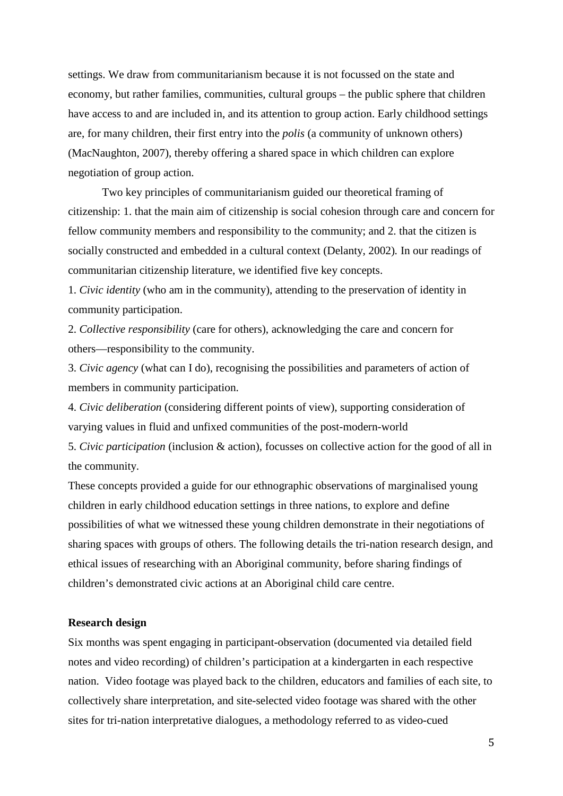settings. We draw from communitarianism because it is not focussed on the state and economy, but rather families, communities, cultural groups – the public sphere that children have access to and are included in, and its attention to group action. Early childhood settings are, for many children, their first entry into the *polis* (a community of unknown others) (MacNaughton, 2007), thereby offering a shared space in which children can explore negotiation of group action.

Two key principles of communitarianism guided our theoretical framing of citizenship: 1. that the main aim of citizenship is social cohesion through care and concern for fellow community members and responsibility to the community; and 2. that the citizen is socially constructed and embedded in a cultural context (Delanty, 2002)*.* In our readings of communitarian citizenship literature, we identified five key concepts.

1. *Civic identity* (who am in the community), attending to the preservation of identity in community participation.

2. *Collective responsibility* (care for others), acknowledging the care and concern for others—responsibility to the community.

3. *Civic agency* (what can I do), recognising the possibilities and parameters of action of members in community participation.

4. *Civic deliberation* (considering different points of view), supporting consideration of varying values in fluid and unfixed communities of the post-modern-world

5. *Civic participation* (inclusion & action), focusses on collective action for the good of all in the community.

These concepts provided a guide for our ethnographic observations of marginalised young children in early childhood education settings in three nations, to explore and define possibilities of what we witnessed these young children demonstrate in their negotiations of sharing spaces with groups of others. The following details the tri-nation research design, and ethical issues of researching with an Aboriginal community, before sharing findings of children's demonstrated civic actions at an Aboriginal child care centre.

#### **Research design**

Six months was spent engaging in participant-observation (documented via detailed field notes and video recording) of children's participation at a kindergarten in each respective nation. Video footage was played back to the children, educators and families of each site, to collectively share interpretation, and site-selected video footage was shared with the other sites for tri-nation interpretative dialogues, a methodology referred to as video-cued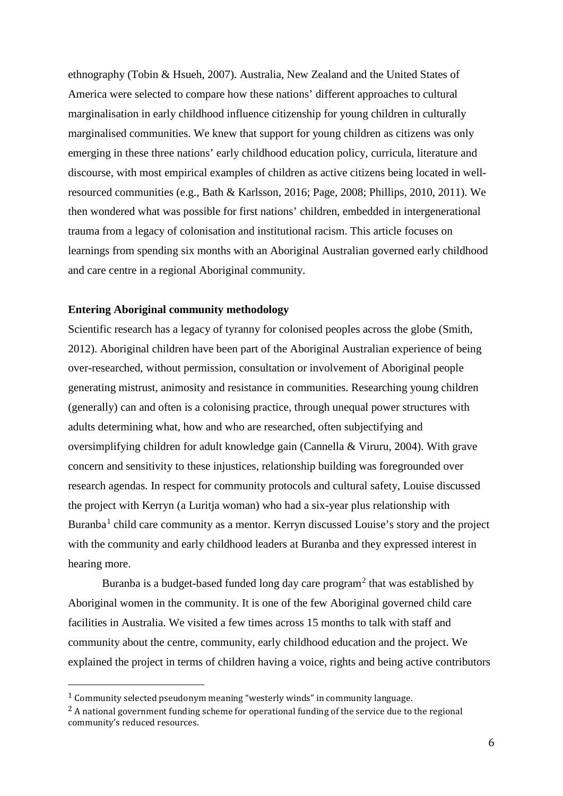ethnography (Tobin & Hsueh, 2007). Australia, New Zealand and the United States of America were selected to compare how these nations' different approaches to cultural marginalisation in early childhood influence citizenship for young children in culturally marginalised communities. We knew that support for young children as citizens was only emerging in these three nations' early childhood education policy, curricula, literature and discourse, with most empirical examples of children as active citizens being located in wellresourced communities (e.g., Bath & Karlsson, 2016; Page, 2008; Phillips, 2010, 2011). We then wondered what was possible for first nations' children, embedded in intergenerational trauma from a legacy of colonisation and institutional racism. This article focuses on learnings from spending six months with an Aboriginal Australian governed early childhood and care centre in a regional Aboriginal community.

## **Entering Aboriginal community methodology**

Scientific research has a legacy of tyranny for colonised peoples across the globe (Smith, 2012). Aboriginal children have been part of the Aboriginal Australian experience of being over-researched, without permission, consultation or involvement of Aboriginal people generating mistrust, animosity and resistance in communities. Researching young children (generally) can and often is a colonising practice, through unequal power structures with adults determining what, how and who are researched, often subjectifying and oversimplifying children for adult knowledge gain (Cannella & Viruru, 2004). With grave concern and sensitivity to these injustices, relationship building was foregrounded over research agendas. In respect for community protocols and cultural safety, Louise discussed the project with Kerryn (a Luritja woman) who had a six-year plus relationship with Buranba<sup>[1](#page-5-0)</sup> child care community as a mentor. Kerryn discussed Louise's story and the project with the community and early childhood leaders at Buranba and they expressed interest in hearing more.

Buranba is a budget-based funded long day care  $program<sup>2</sup>$  $program<sup>2</sup>$  $program<sup>2</sup>$  that was established by Aboriginal women in the community. It is one of the few Aboriginal governed child care facilities in Australia. We visited a few times across 15 months to talk with staff and community about the centre, community, early childhood education and the project. We explained the project in terms of children having a voice, rights and being active contributors

-

<span id="page-5-0"></span><sup>1</sup> Community selected pseudonym meaning "westerly winds" in community language.

<span id="page-5-1"></span><sup>&</sup>lt;sup>2</sup> A national government funding scheme for operational funding of the service due to the regional community's reduced resources.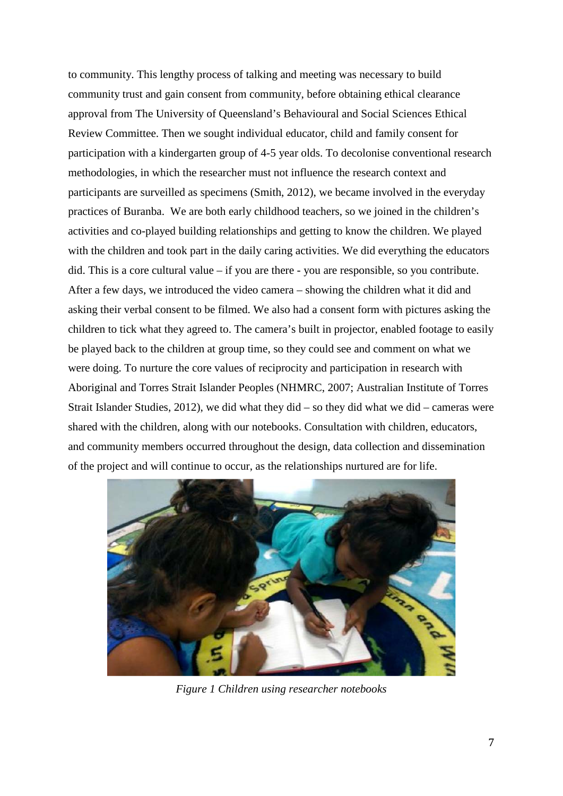to community. This lengthy process of talking and meeting was necessary to build community trust and gain consent from community, before obtaining ethical clearance approval from The University of Queensland's Behavioural and Social Sciences Ethical Review Committee. Then we sought individual educator, child and family consent for participation with a kindergarten group of 4-5 year olds. To decolonise conventional research methodologies, in which the researcher must not influence the research context and participants are surveilled as specimens (Smith, 2012), we became involved in the everyday practices of Buranba. We are both early childhood teachers, so we joined in the children's activities and co-played building relationships and getting to know the children. We played with the children and took part in the daily caring activities. We did everything the educators did. This is a core cultural value – if you are there - you are responsible, so you contribute. After a few days, we introduced the video camera – showing the children what it did and asking their verbal consent to be filmed. We also had a consent form with pictures asking the children to tick what they agreed to. The camera's built in projector, enabled footage to easily be played back to the children at group time, so they could see and comment on what we were doing. To nurture the core values of reciprocity and participation in research with Aboriginal and Torres Strait Islander Peoples (NHMRC, 2007; Australian Institute of Torres Strait Islander Studies, 2012), we did what they did – so they did what we did – cameras were shared with the children, along with our notebooks. Consultation with children, educators, and community members occurred throughout the design, data collection and dissemination of the project and will continue to occur, as the relationships nurtured are for life.



*Figure 1 Children using researcher notebooks*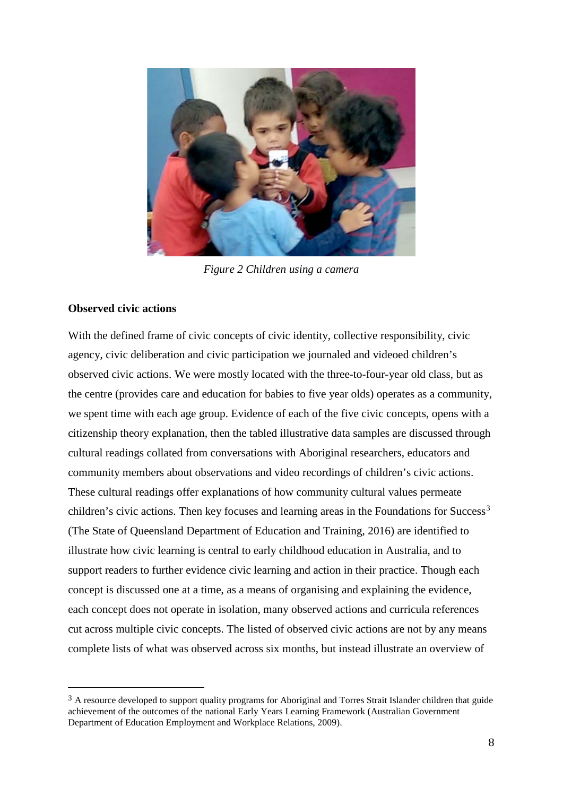

*Figure 2 Children using a camera*

### **Observed civic actions**

<u>.</u>

With the defined frame of civic concepts of civic identity, collective responsibility, civic agency, civic deliberation and civic participation we journaled and videoed children's observed civic actions. We were mostly located with the three-to-four-year old class, but as the centre (provides care and education for babies to five year olds) operates as a community, we spent time with each age group. Evidence of each of the five civic concepts, opens with a citizenship theory explanation, then the tabled illustrative data samples are discussed through cultural readings collated from conversations with Aboriginal researchers, educators and community members about observations and video recordings of children's civic actions. These cultural readings offer explanations of how community cultural values permeate children's civic actions. Then key focuses and learning areas in the Foundations for  $Succes<sup>3</sup>$  $Succes<sup>3</sup>$  $Succes<sup>3</sup>$ (The State of Queensland Department of Education and Training, 2016) are identified to illustrate how civic learning is central to early childhood education in Australia, and to support readers to further evidence civic learning and action in their practice. Though each concept is discussed one at a time, as a means of organising and explaining the evidence, each concept does not operate in isolation, many observed actions and curricula references cut across multiple civic concepts. The listed of observed civic actions are not by any means complete lists of what was observed across six months, but instead illustrate an overview of

<span id="page-7-0"></span><sup>&</sup>lt;sup>3</sup> A resource developed to support quality programs for Aboriginal and Torres Strait Islander children that guide achievement of the outcomes of the national Early Years Learning Framework (Australian Government Department of Education Employment and Workplace Relations, 2009).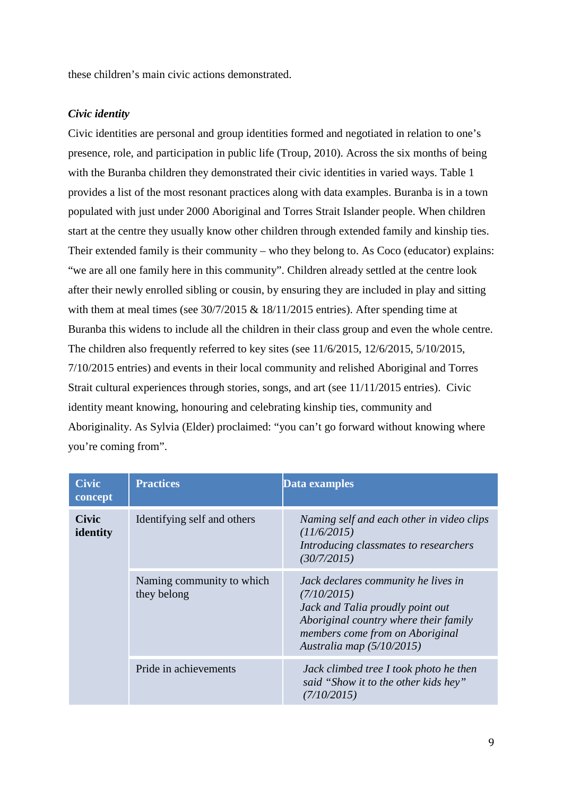these children's main civic actions demonstrated.

### *Civic identity*

Civic identities are personal and group identities formed and negotiated in relation to one's presence, role, and participation in public life (Troup, 2010). Across the six months of being with the Buranba children they demonstrated their civic identities in varied ways. Table 1 provides a list of the most resonant practices along with data examples. Buranba is in a town populated with just under 2000 Aboriginal and Torres Strait Islander people. When children start at the centre they usually know other children through extended family and kinship ties. Their extended family is their community – who they belong to. As Coco (educator) explains: "we are all one family here in this community". Children already settled at the centre look after their newly enrolled sibling or cousin, by ensuring they are included in play and sitting with them at meal times (see 30/7/2015 & 18/11/2015 entries). After spending time at Buranba this widens to include all the children in their class group and even the whole centre. The children also frequently referred to key sites (see 11/6/2015, 12/6/2015, 5/10/2015, 7/10/2015 entries) and events in their local community and relished Aboriginal and Torres Strait cultural experiences through stories, songs, and art (see 11/11/2015 entries). Civic identity meant knowing, honouring and celebrating kinship ties, community and Aboriginality. As Sylvia (Elder) proclaimed: "you can't go forward without knowing where you're coming from".

| <b>Civic</b><br>concept  | <b>Practices</b>                         | Data examples                                                                                                                                                                                     |
|--------------------------|------------------------------------------|---------------------------------------------------------------------------------------------------------------------------------------------------------------------------------------------------|
| <b>Civic</b><br>identity | Identifying self and others              | Naming self and each other in video clips<br>(11/6/2015)<br>Introducing classmates to researchers<br>(30/7/2015)                                                                                  |
|                          | Naming community to which<br>they belong | Jack declares community he lives in<br>(7/10/2015)<br>Jack and Talia proudly point out<br>Aboriginal country where their family<br>members come from on Aboriginal<br>Australia map $(5/10/2015)$ |
|                          | Pride in achievements                    | Jack climbed tree I took photo he then<br>said "Show it to the other kids hey"<br>(7/10/2015)                                                                                                     |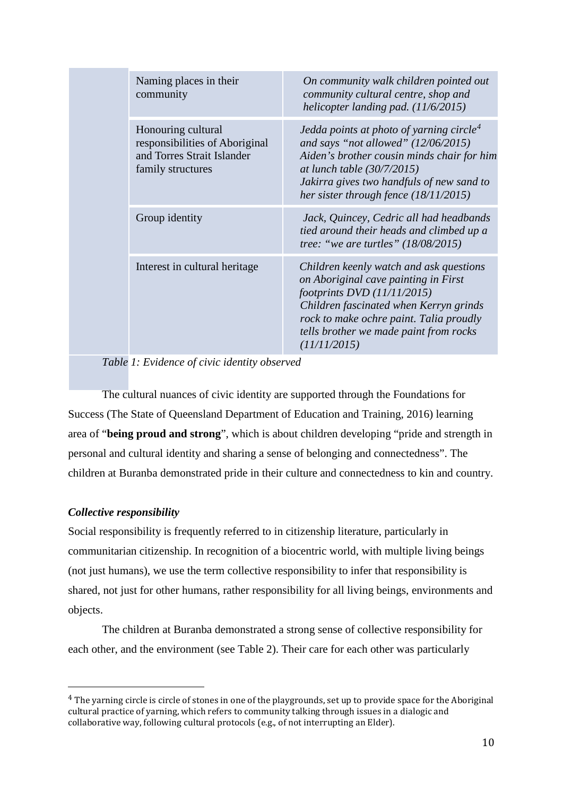|  | Naming places in their<br>community                                                                     | On community walk children pointed out<br>community cultural centre, shop and<br>helicopter landing pad. $(11/6/2015)$                                                                                                                                              |
|--|---------------------------------------------------------------------------------------------------------|---------------------------------------------------------------------------------------------------------------------------------------------------------------------------------------------------------------------------------------------------------------------|
|  | Honouring cultural<br>responsibilities of Aboriginal<br>and Torres Strait Islander<br>family structures | Jedda points at photo of yarning circle <sup>4</sup><br>and says "not allowed" $(12/06/2015)$<br>Aiden's brother cousin minds chair for him<br>at lunch table $(30/7/2015)$<br>Jakirra gives two handfuls of new sand to<br>her sister through fence $(18/11/2015)$ |
|  | Group identity                                                                                          | Jack, Quincey, Cedric all had headbands<br>tied around their heads and climbed up a<br>tree: "we are turtles" $(18/08/2015)$                                                                                                                                        |
|  | Interest in cultural heritage                                                                           | Children keenly watch and ask questions<br>on Aboriginal cave painting in First<br>footprints $DVD$ (11/11/2015)<br>Children fascinated when Kerryn grinds<br>rock to make ochre paint. Talia proudly<br>tells brother we made paint from rocks<br>(11/11/2015)     |

*Table 1: Evidence of civic identity observed*

The cultural nuances of civic identity are supported through the Foundations for Success (The State of Queensland Department of Education and Training, 2016) learning area of "**being proud and strong**", which is about children developing "pride and strength in personal and cultural identity and sharing a sense of belonging and connectedness". The children at Buranba demonstrated pride in their culture and connectedness to kin and country.

## *Collective responsibility*

<u>.</u>

Social responsibility is frequently referred to in citizenship literature, particularly in communitarian citizenship. In recognition of a biocentric world, with multiple living beings (not just humans), we use the term collective responsibility to infer that responsibility is shared, not just for other humans, rather responsibility for all living beings, environments and objects.

The children at Buranba demonstrated a strong sense of collective responsibility for each other, and the environment (see Table 2). Their care for each other was particularly

<span id="page-9-0"></span><sup>4</sup> The yarning circle is circle of stones in one of the playgrounds, set up to provide space for the Aboriginal cultural practice of yarning, which refers to community talking through issues in a dialogic and collaborative way, following cultural protocols (e.g., of not interrupting an Elder).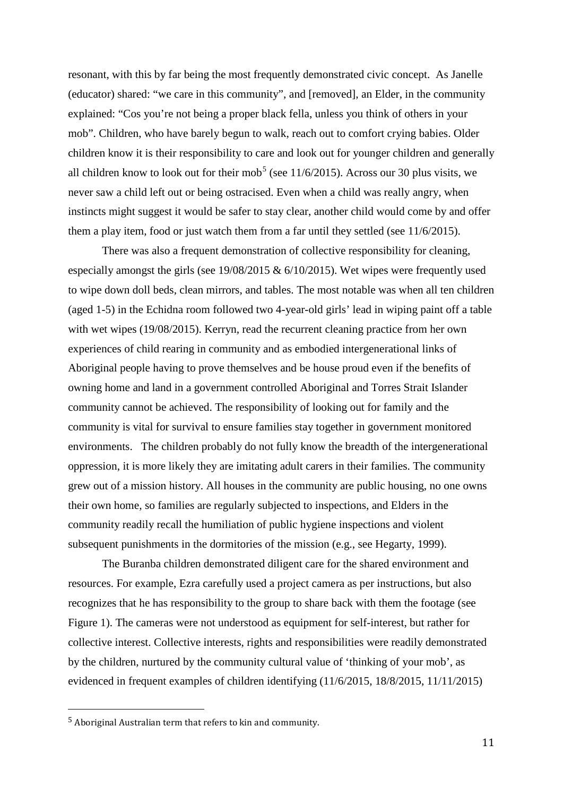resonant, with this by far being the most frequently demonstrated civic concept. As Janelle (educator) shared: "we care in this community", and [removed], an Elder, in the community explained: "Cos you're not being a proper black fella, unless you think of others in your mob". Children, who have barely begun to walk, reach out to comfort crying babies. Older children know it is their responsibility to care and look out for younger children and generally all children know to look out for their mob<sup>[5](#page-10-0)</sup> (see  $11/6/2015$ ). Across our 30 plus visits, we never saw a child left out or being ostracised. Even when a child was really angry, when instincts might suggest it would be safer to stay clear, another child would come by and offer them a play item, food or just watch them from a far until they settled (see 11/6/2015).

There was also a frequent demonstration of collective responsibility for cleaning, especially amongst the girls (see 19/08/2015 & 6/10/2015). Wet wipes were frequently used to wipe down doll beds, clean mirrors, and tables. The most notable was when all ten children (aged 1-5) in the Echidna room followed two 4-year-old girls' lead in wiping paint off a table with wet wipes (19/08/2015). Kerryn, read the recurrent cleaning practice from her own experiences of child rearing in community and as embodied intergenerational links of Aboriginal people having to prove themselves and be house proud even if the benefits of owning home and land in a government controlled Aboriginal and Torres Strait Islander community cannot be achieved. The responsibility of looking out for family and the community is vital for survival to ensure families stay together in government monitored environments. The children probably do not fully know the breadth of the intergenerational oppression, it is more likely they are imitating adult carers in their families. The community grew out of a mission history. All houses in the community are public housing, no one owns their own home, so families are regularly subjected to inspections, and Elders in the community readily recall the humiliation of public hygiene inspections and violent subsequent punishments in the dormitories of the mission (e.g., see Hegarty, 1999).

The Buranba children demonstrated diligent care for the shared environment and resources. For example, Ezra carefully used a project camera as per instructions, but also recognizes that he has responsibility to the group to share back with them the footage (see Figure 1). The cameras were not understood as equipment for self-interest, but rather for collective interest. Collective interests, rights and responsibilities were readily demonstrated by the children, nurtured by the community cultural value of 'thinking of your mob', as evidenced in frequent examples of children identifying (11/6/2015, 18/8/2015, 11/11/2015)

-

<span id="page-10-0"></span><sup>5</sup> Aboriginal Australian term that refers to kin and community.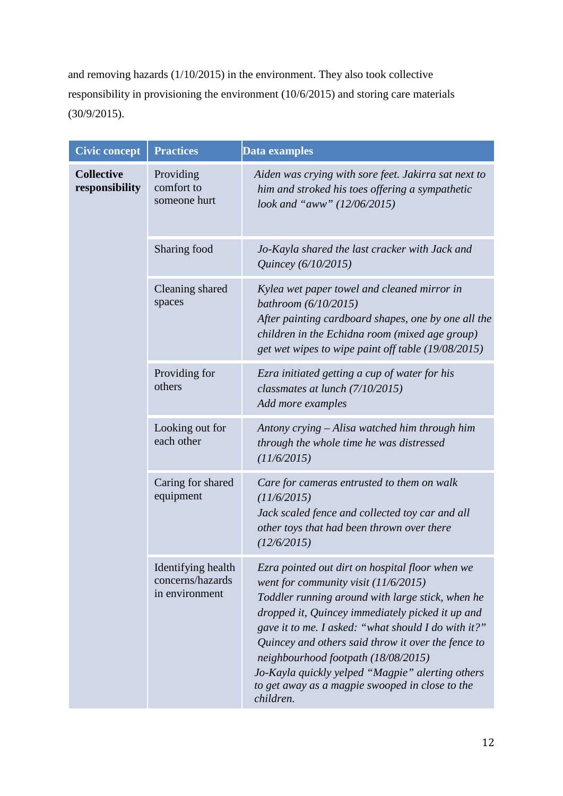and removing hazards (1/10/2015) in the environment. They also took collective responsibility in provisioning the environment (10/6/2015) and storing care materials (30/9/2015).

| <b>Civic concept</b>                | <b>Practices</b>                                         | <b>Data examples</b>                                                                                                                                                                                                                                                                                                                                                                                                                                                    |
|-------------------------------------|----------------------------------------------------------|-------------------------------------------------------------------------------------------------------------------------------------------------------------------------------------------------------------------------------------------------------------------------------------------------------------------------------------------------------------------------------------------------------------------------------------------------------------------------|
| <b>Collective</b><br>responsibility | Providing<br>comfort to<br>someone hurt                  | Aiden was crying with sore feet. Jakirra sat next to<br>him and stroked his toes offering a sympathetic<br>look and "aww" (12/06/2015)                                                                                                                                                                                                                                                                                                                                  |
|                                     | Sharing food                                             | Jo-Kayla shared the last cracker with Jack and<br>Quincey (6/10/2015)                                                                                                                                                                                                                                                                                                                                                                                                   |
|                                     | Cleaning shared<br>spaces                                | Kylea wet paper towel and cleaned mirror in<br>bathroom $(6/10/2015)$<br>After painting cardboard shapes, one by one all the<br>children in the Echidna room (mixed age group)<br>get wet wipes to wipe paint off table (19/08/2015)                                                                                                                                                                                                                                    |
|                                     | Providing for<br>others                                  | Ezra initiated getting a cup of water for his<br>classmates at lunch (7/10/2015)<br>Add more examples                                                                                                                                                                                                                                                                                                                                                                   |
|                                     | Looking out for<br>each other                            | Antony crying – Alisa watched him through him<br>through the whole time he was distressed<br>(11/6/2015)                                                                                                                                                                                                                                                                                                                                                                |
|                                     | Caring for shared<br>equipment                           | Care for cameras entrusted to them on walk<br>(11/6/2015)<br>Jack scaled fence and collected toy car and all<br>other toys that had been thrown over there<br>(12/6/2015)                                                                                                                                                                                                                                                                                               |
|                                     | Identifying health<br>concerns/hazards<br>in environment | Ezra pointed out dirt on hospital floor when we<br>went for community visit (11/6/2015)<br>Toddler running around with large stick, when he<br>dropped it, Quincey immediately picked it up and<br>gave it to me. I asked: "what should I do with it?"<br>Quincey and others said throw it over the fence to<br>neighbourhood footpath (18/08/2015)<br>Jo-Kayla quickly yelped "Magpie" alerting others<br>to get away as a magpie swooped in close to the<br>children. |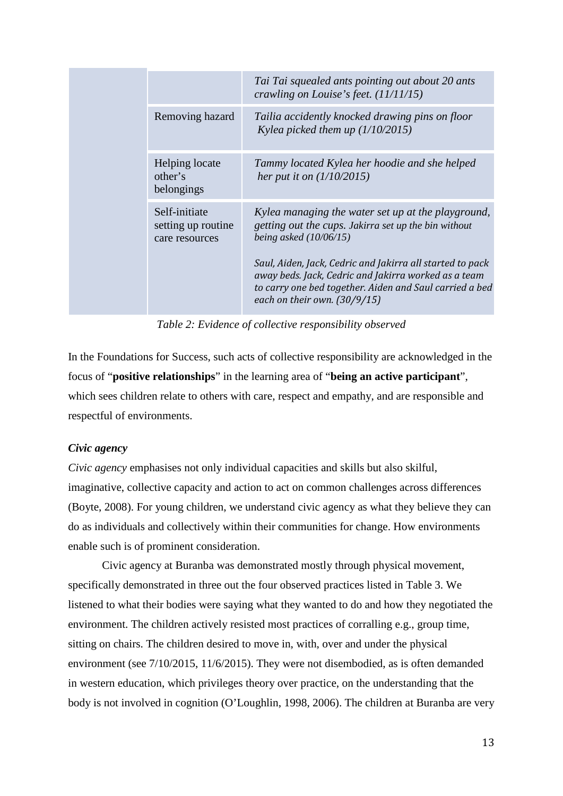|                                                       | Tai Tai squealed ants pointing out about 20 ants<br>crawling on Louise's feet. $(11/11/15)$                                                                                                                                                                                                                                                              |
|-------------------------------------------------------|----------------------------------------------------------------------------------------------------------------------------------------------------------------------------------------------------------------------------------------------------------------------------------------------------------------------------------------------------------|
| Removing hazard                                       | Tailia accidently knocked drawing pins on floor<br>Kylea picked them up $(1/10/2015)$                                                                                                                                                                                                                                                                    |
| Helping locate<br>other's<br>belongings               | Tammy located Kylea her hoodie and she helped<br>her put it on $(1/10/2015)$                                                                                                                                                                                                                                                                             |
| Self-initiate<br>setting up routine<br>care resources | Kylea managing the water set up at the playground,<br>getting out the cups. Jakirra set up the bin without<br>being asked $(10/06/15)$<br>Saul, Aiden, Jack, Cedric and Jakirra all started to pack<br>away beds. Jack, Cedric and Jakirra worked as a team<br>to carry one bed together. Aiden and Saul carried a bed<br>each on their own. $(30/9/15)$ |

*Table 2: Evidence of collective responsibility observed*

In the Foundations for Success, such acts of collective responsibility are acknowledged in the focus of "**positive relationships**" in the learning area of "**being an active participant**", which sees children relate to others with care, respect and empathy, and are responsible and respectful of environments.

## *Civic agency*

*Civic agency* emphasises not only individual capacities and skills but also skilful, imaginative, collective capacity and action to act on common challenges across differences (Boyte, 2008). For young children, we understand civic agency as what they believe they can do as individuals and collectively within their communities for change. How environments enable such is of prominent consideration.

Civic agency at Buranba was demonstrated mostly through physical movement, specifically demonstrated in three out the four observed practices listed in Table 3. We listened to what their bodies were saying what they wanted to do and how they negotiated the environment. The children actively resisted most practices of corralling e.g., group time, sitting on chairs. The children desired to move in, with, over and under the physical environment (see 7/10/2015, 11/6/2015). They were not disembodied, as is often demanded in western education, which privileges theory over practice, on the understanding that the body is not involved in cognition (O'Loughlin, 1998, 2006). The children at Buranba are very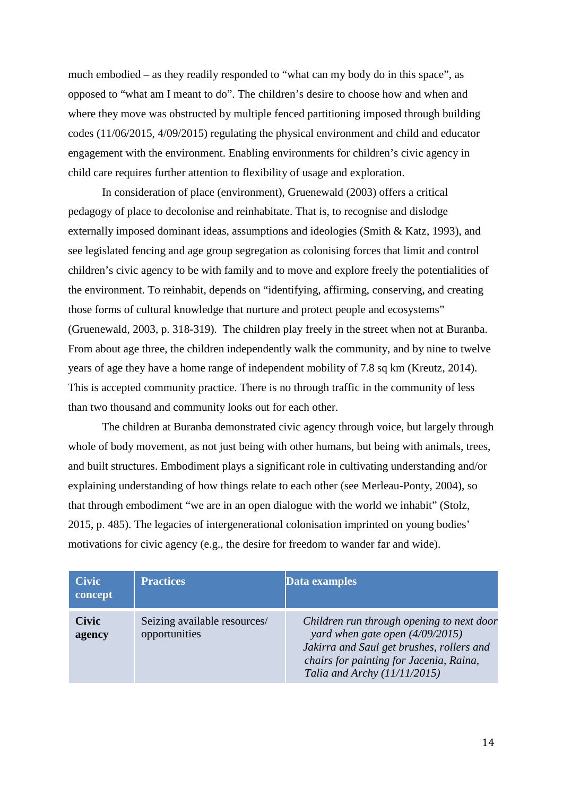much embodied – as they readily responded to "what can my body do in this space", as opposed to "what am I meant to do". The children's desire to choose how and when and where they move was obstructed by multiple fenced partitioning imposed through building codes (11/06/2015, 4/09/2015) regulating the physical environment and child and educator engagement with the environment. Enabling environments for children's civic agency in child care requires further attention to flexibility of usage and exploration.

In consideration of place (environment), Gruenewald (2003) offers a critical pedagogy of place to decolonise and reinhabitate. That is, to recognise and dislodge externally imposed dominant ideas, assumptions and ideologies (Smith & Katz, 1993), and see legislated fencing and age group segregation as colonising forces that limit and control children's civic agency to be with family and to move and explore freely the potentialities of the environment. To reinhabit, depends on "identifying, affirming, conserving, and creating those forms of cultural knowledge that nurture and protect people and ecosystems" (Gruenewald, 2003, p. 318-319). The children play freely in the street when not at Buranba. From about age three, the children independently walk the community, and by nine to twelve years of age they have a home range of independent mobility of 7.8 sq km (Kreutz, 2014). This is accepted community practice. There is no through traffic in the community of less than two thousand and community looks out for each other.

The children at Buranba demonstrated civic agency through voice, but largely through whole of body movement, as not just being with other humans, but being with animals, trees, and built structures. Embodiment plays a significant role in cultivating understanding and/or explaining understanding of how things relate to each other (see Merleau-Ponty, 2004), so that through embodiment "we are in an open dialogue with the world we inhabit" (Stolz, 2015, p. 485). The legacies of intergenerational colonisation imprinted on young bodies' motivations for civic agency (e.g., the desire for freedom to wander far and wide).

| <b>Civic</b><br>concept | <b>Practices</b>                              | Data examples                                                                                                                                                                                            |
|-------------------------|-----------------------------------------------|----------------------------------------------------------------------------------------------------------------------------------------------------------------------------------------------------------|
| <b>Civic</b><br>agency  | Seizing available resources/<br>opportunities | Children run through opening to next door<br>yard when gate open $(4/09/2015)$<br>Jakirra and Saul get brushes, rollers and<br>chairs for painting for Jacenia, Raina,<br>Talia and Archy $(11/11/2015)$ |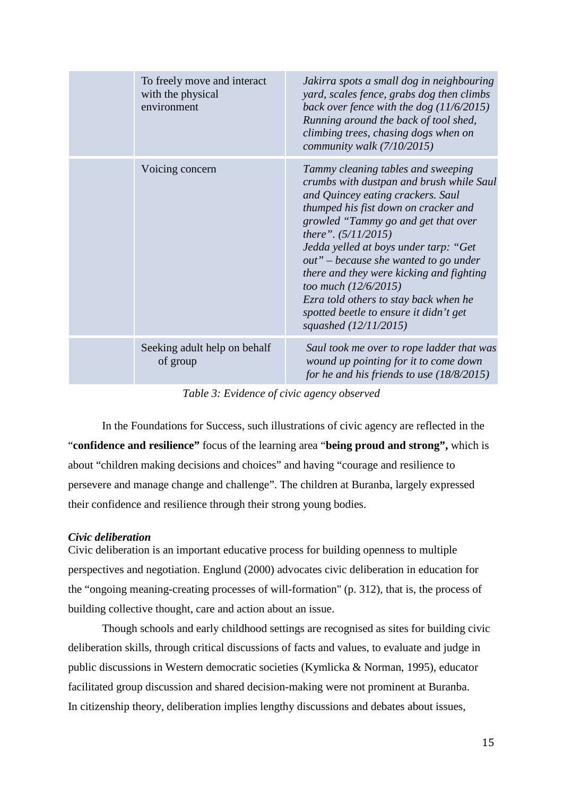| To freely move and interact<br>with the physical<br>environment | Jakirra spots a small dog in neighbouring<br>yard, scales fence, grabs dog then climbs<br>back over fence with the dog $(11/6/2015)$<br>Running around the back of tool shed,<br>climbing trees, chasing dogs when on<br>community walk $(7/10/2015)$                                                                                                                                                                                                                                         |
|-----------------------------------------------------------------|-----------------------------------------------------------------------------------------------------------------------------------------------------------------------------------------------------------------------------------------------------------------------------------------------------------------------------------------------------------------------------------------------------------------------------------------------------------------------------------------------|
| Voicing concern                                                 | Tammy cleaning tables and sweeping<br>crumbs with dustpan and brush while Saul<br>and Quincey eating crackers. Saul<br>thumped his fist down on cracker and<br>growled "Tammy go and get that over<br>there". $(5/11/2015)$<br>Jedda yelled at boys under tarp: "Get<br>out" – because she wanted to go under<br>there and they were kicking and fighting<br>too much (12/6/2015)<br>Ezra told others to stay back when he<br>spotted beetle to ensure it didn't get<br>squashed (12/11/2015) |
| Seeking adult help on behalf<br>of group                        | Saul took me over to rope ladder that was<br>wound up pointing for it to come down<br>for he and his friends to use $(18/8/2015)$                                                                                                                                                                                                                                                                                                                                                             |

*Table 3: Evidence of civic agency observed*

In the Foundations for Success, such illustrations of civic agency are reflected in the "**confidence and resilience"** focus of the learning area "**being proud and strong",** which is about "children making decisions and choices" and having "courage and resilience to persevere and manage change and challenge". The children at Buranba, largely expressed their confidence and resilience through their strong young bodies.

### *Civic deliberation*

Civic deliberation is an important educative process for building openness to multiple perspectives and negotiation. Englund (2000) advocates civic deliberation in education for the "ongoing meaning-creating processes of will-formation" (p. 312), that is, the process of building collective thought, care and action about an issue.

Though schools and early childhood settings are recognised as sites for building civic deliberation skills, through critical discussions of facts and values, to evaluate and judge in public discussions in Western democratic societies (Kymlicka & Norman, 1995), educator facilitated group discussion and shared decision-making were not prominent at Buranba. In citizenship theory, deliberation implies lengthy discussions and debates about issues,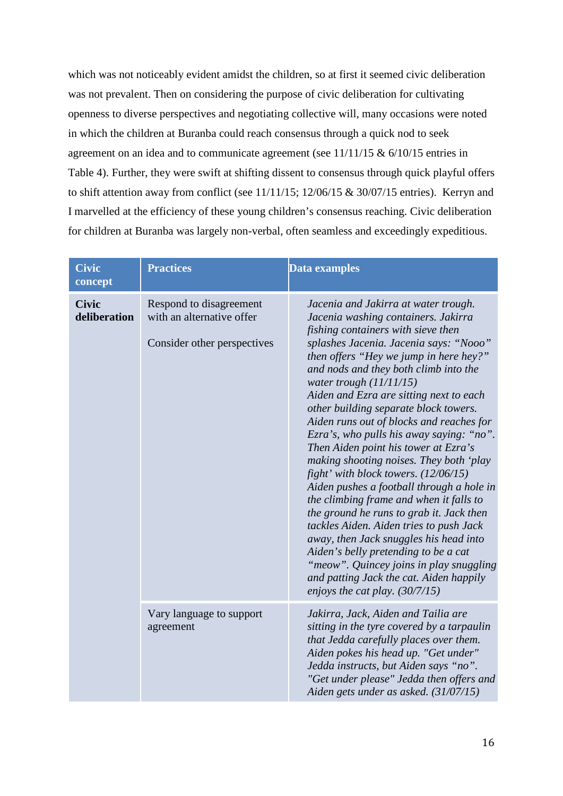which was not noticeably evident amidst the children, so at first it seemed civic deliberation was not prevalent. Then on considering the purpose of civic deliberation for cultivating openness to diverse perspectives and negotiating collective will, many occasions were noted in which the children at Buranba could reach consensus through a quick nod to seek agreement on an idea and to communicate agreement (see 11/11/15 & 6/10/15 entries in Table 4). Further, they were swift at shifting dissent to consensus through quick playful offers to shift attention away from conflict (see 11/11/15; 12/06/15 & 30/07/15 entries). Kerryn and I marvelled at the efficiency of these young children's consensus reaching. Civic deliberation for children at Buranba was largely non-verbal, often seamless and exceedingly expeditious.

| <b>Civic</b><br>concept      | <b>Practices</b>                                                                    | Data examples                                                                                                                                                                                                                                                                                                                                                                                                                                                                                                                                                                                                                                                                                                                                                                                                                                                                                                                                                                   |
|------------------------------|-------------------------------------------------------------------------------------|---------------------------------------------------------------------------------------------------------------------------------------------------------------------------------------------------------------------------------------------------------------------------------------------------------------------------------------------------------------------------------------------------------------------------------------------------------------------------------------------------------------------------------------------------------------------------------------------------------------------------------------------------------------------------------------------------------------------------------------------------------------------------------------------------------------------------------------------------------------------------------------------------------------------------------------------------------------------------------|
| <b>Civic</b><br>deliberation | Respond to disagreement<br>with an alternative offer<br>Consider other perspectives | Jacenia and Jakirra at water trough.<br>Jacenia washing containers. Jakirra<br>fishing containers with sieve then<br>splashes Jacenia. Jacenia says: "Nooo"<br>then offers "Hey we jump in here hey?"<br>and nods and they both climb into the<br>water trough $(11/11/15)$<br>Aiden and Ezra are sitting next to each<br>other building separate block towers.<br>Aiden runs out of blocks and reaches for<br>Ezra's, who pulls his away saying: "no".<br>Then Aiden point his tower at Ezra's<br>making shooting noises. They both 'play<br>fight' with block towers. $(12/06/15)$<br>Aiden pushes a football through a hole in<br>the climbing frame and when it falls to<br>the ground he runs to grab it. Jack then<br>tackles Aiden. Aiden tries to push Jack<br>away, then Jack snuggles his head into<br>Aiden's belly pretending to be a cat<br>"meow". Quincey joins in play snuggling<br>and patting Jack the cat. Aiden happily<br>enjoys the cat play. $(30/7/15)$ |
|                              | Vary language to support<br>agreement                                               | Jakirra, Jack, Aiden and Tailia are<br>sitting in the tyre covered by a tarpaulin<br>that Jedda carefully places over them.<br>Aiden pokes his head up. "Get under"<br>Jedda instructs, but Aiden says "no".<br>"Get under please" Jedda then offers and<br>Aiden gets under as asked. (31/07/15)                                                                                                                                                                                                                                                                                                                                                                                                                                                                                                                                                                                                                                                                               |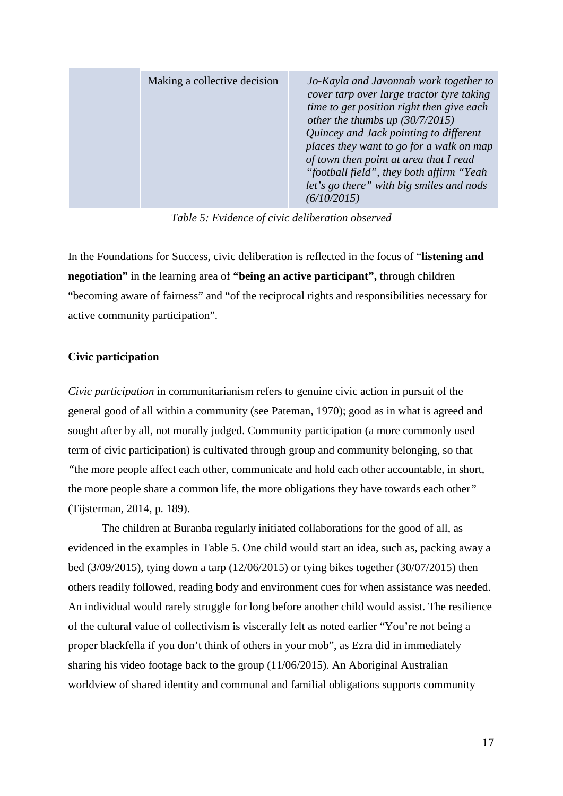*Table 5: Evidence of civic deliberation observed*

In the Foundations for Success, civic deliberation is reflected in the focus of "**listening and negotiation"** in the learning area of **"being an active participant",** through children "becoming aware of fairness" and "of the reciprocal rights and responsibilities necessary for active community participation".

#### **Civic participation**

*Civic participation* in communitarianism refers to genuine civic action in pursuit of the general good of all within a community (see Pateman, 1970); good as in what is agreed and sought after by all, not morally judged. Community participation (a more commonly used term of civic participation) is cultivated through group and community belonging, so that *"*the more people affect each other, communicate and hold each other accountable, in short, the more people share a common life, the more obligations they have towards each other*"*  (Tijsterman, 2014, p. 189).

The children at Buranba regularly initiated collaborations for the good of all, as evidenced in the examples in Table 5. One child would start an idea, such as, packing away a bed (3/09/2015), tying down a tarp (12/06/2015) or tying bikes together (30/07/2015) then others readily followed, reading body and environment cues for when assistance was needed. An individual would rarely struggle for long before another child would assist. The resilience of the cultural value of collectivism is viscerally felt as noted earlier "You're not being a proper blackfella if you don't think of others in your mob", as Ezra did in immediately sharing his video footage back to the group (11/06/2015). An Aboriginal Australian worldview of shared identity and communal and familial obligations supports community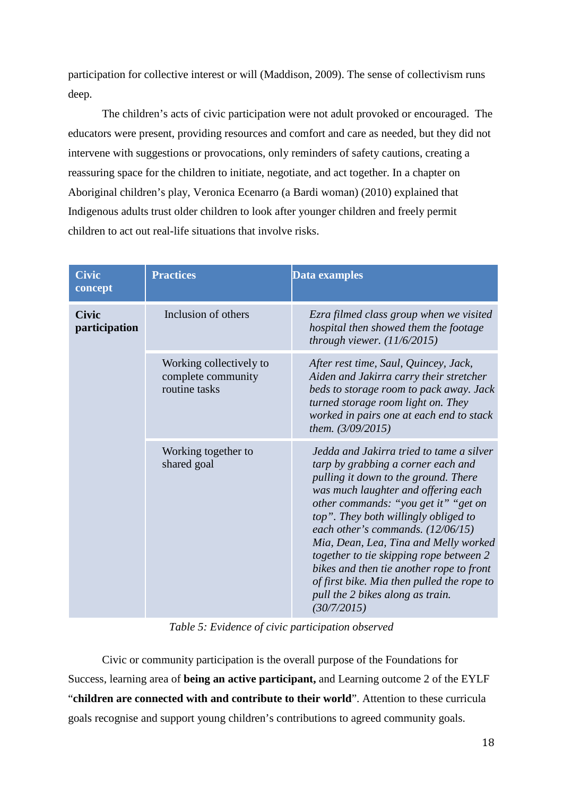participation for collective interest or will (Maddison, 2009). The sense of collectivism runs deep.

The children's acts of civic participation were not adult provoked or encouraged. The educators were present, providing resources and comfort and care as needed, but they did not intervene with suggestions or provocations, only reminders of safety cautions, creating a reassuring space for the children to initiate, negotiate, and act together. In a chapter on Aboriginal children's play, Veronica Ecenarro (a Bardi woman) (2010) explained that Indigenous adults trust older children to look after younger children and freely permit children to act out real-life situations that involve risks.

| <b>Civic</b><br>concept       | <b>Practices</b>                                               | Data examples                                                                                                                                                                                                                                                                                                                                                                                                                                                                                                         |
|-------------------------------|----------------------------------------------------------------|-----------------------------------------------------------------------------------------------------------------------------------------------------------------------------------------------------------------------------------------------------------------------------------------------------------------------------------------------------------------------------------------------------------------------------------------------------------------------------------------------------------------------|
| <b>Civic</b><br>participation | Inclusion of others                                            | Ezra filmed class group when we visited<br>hospital then showed them the footage<br>through viewer. $(11/6/2015)$                                                                                                                                                                                                                                                                                                                                                                                                     |
|                               | Working collectively to<br>complete community<br>routine tasks | After rest time, Saul, Quincey, Jack,<br>Aiden and Jakirra carry their stretcher<br>beds to storage room to pack away. Jack<br>turned storage room light on. They<br>worked in pairs one at each end to stack<br>them. $(3/09/2015)$                                                                                                                                                                                                                                                                                  |
|                               | Working together to<br>shared goal                             | Jedda and Jakirra tried to tame a silver<br>tarp by grabbing a corner each and<br>pulling it down to the ground. There<br>was much laughter and offering each<br>other commands: "you get it" "get on<br>top". They both willingly obliged to<br>each other's commands. $(12/06/15)$<br>Mia, Dean, Lea, Tina and Melly worked<br>together to tie skipping rope between 2<br>bikes and then tie another rope to front<br>of first bike. Mia then pulled the rope to<br>pull the 2 bikes along as train.<br>(30/7/2015) |

*Table 5: Evidence of civic participation observed*

Civic or community participation is the overall purpose of the Foundations for Success, learning area of **being an active participant,** and Learning outcome 2 of the EYLF "**children are connected with and contribute to their world**". Attention to these curricula goals recognise and support young children's contributions to agreed community goals.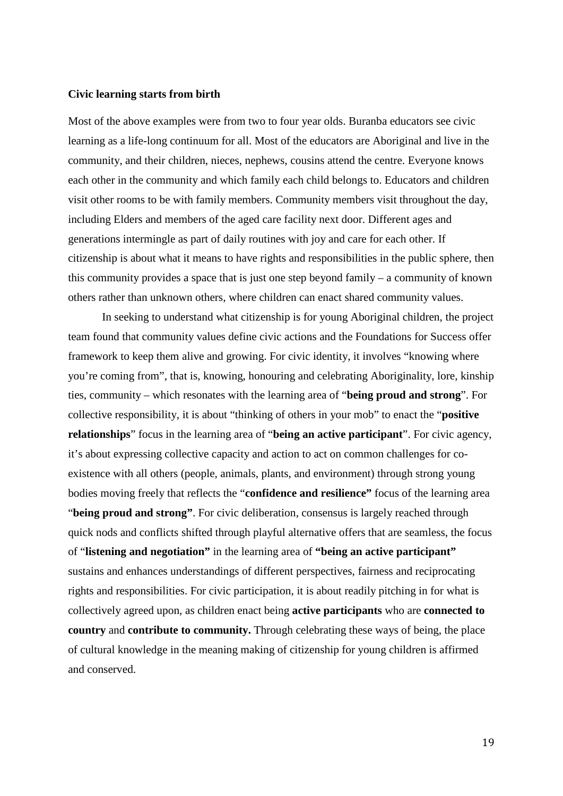#### **Civic learning starts from birth**

Most of the above examples were from two to four year olds. Buranba educators see civic learning as a life-long continuum for all. Most of the educators are Aboriginal and live in the community, and their children, nieces, nephews, cousins attend the centre. Everyone knows each other in the community and which family each child belongs to. Educators and children visit other rooms to be with family members. Community members visit throughout the day, including Elders and members of the aged care facility next door. Different ages and generations intermingle as part of daily routines with joy and care for each other. If citizenship is about what it means to have rights and responsibilities in the public sphere, then this community provides a space that is just one step beyond family – a community of known others rather than unknown others, where children can enact shared community values.

In seeking to understand what citizenship is for young Aboriginal children, the project team found that community values define civic actions and the Foundations for Success offer framework to keep them alive and growing. For civic identity, it involves "knowing where you're coming from", that is, knowing, honouring and celebrating Aboriginality, lore, kinship ties, community – which resonates with the learning area of "**being proud and strong**". For collective responsibility, it is about "thinking of others in your mob" to enact the "**positive relationships**" focus in the learning area of "**being an active participant**". For civic agency, it's about expressing collective capacity and action to act on common challenges for coexistence with all others (people, animals, plants, and environment) through strong young bodies moving freely that reflects the "**confidence and resilience"** focus of the learning area "**being proud and strong"**. For civic deliberation, consensus is largely reached through quick nods and conflicts shifted through playful alternative offers that are seamless, the focus of "**listening and negotiation"** in the learning area of **"being an active participant"** sustains and enhances understandings of different perspectives, fairness and reciprocating rights and responsibilities. For civic participation, it is about readily pitching in for what is collectively agreed upon, as children enact being **active participants** who are **connected to country** and **contribute to community.** Through celebrating these ways of being, the place of cultural knowledge in the meaning making of citizenship for young children is affirmed and conserved.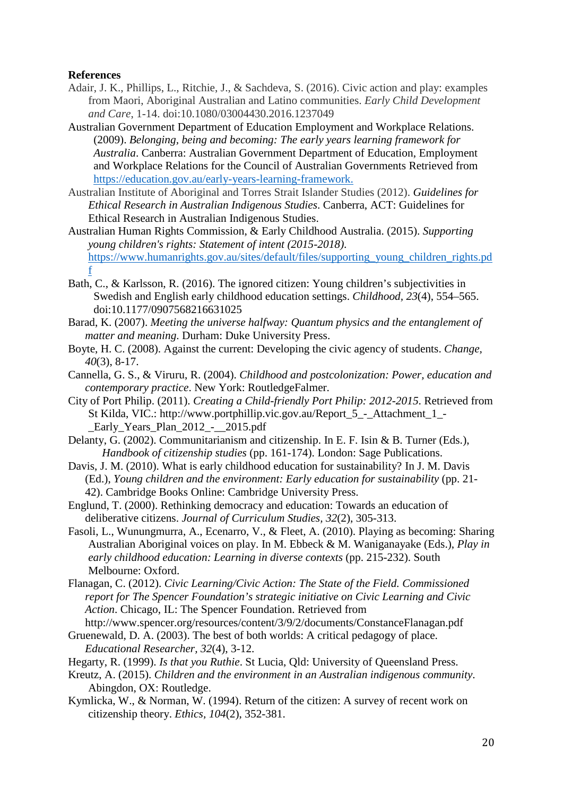### **References**

- Adair, J. K., Phillips, L., Ritchie, J., & Sachdeva, S. (2016). Civic action and play: examples from Maori, Aboriginal Australian and Latino communities. *Early Child Development and Care*, 1-14. doi:10.1080/03004430.2016.1237049
- Australian Government Department of Education Employment and Workplace Relations. (2009). *Belonging, being and becoming: The early years learning framework for Australia*. Canberra: Australian Government Department of Education, Employment and Workplace Relations for the Council of Australian Governments Retrieved from <https://education.gov.au/early-years-learning-framework.>
- Australian Institute of Aboriginal and Torres Strait Islander Studies (2012). *Guidelines for Ethical Research in Australian Indigenous Studies*. Canberra, ACT: Guidelines for Ethical Research in Australian Indigenous Studies.
- Australian Human Rights Commission, & Early Childhood Australia. (2015). *Supporting young children's rights: Statement of intent (2015-2018)*. [https://www.humanrights.gov.au/sites/default/files/supporting\\_young\\_children\\_rights.pd](https://www.humanrights.gov.au/sites/default/files/supporting_young_children_rights.pdf) [f](https://www.humanrights.gov.au/sites/default/files/supporting_young_children_rights.pdf)
- Bath, C., & Karlsson, R. (2016). The ignored citizen: Young children's subjectivities in Swedish and English early childhood education settings. *Childhood, 23*(4), 554–565. doi:10.1177/0907568216631025
- Barad, K. (2007). *Meeting the universe halfway: Quantum physics and the entanglement of matter and meaning*. Durham: Duke University Press.
- Boyte, H. C. (2008). Against the current: Developing the civic agency of students. *Change, 40*(3), 8-17.
- Cannella, G. S., & Viruru, R. (2004). *Childhood and postcolonization: Power, education and contemporary practice*. New York: RoutledgeFalmer.
- City of Port Philip. (2011). *Creating a Child-friendly Port Philip: 2012-2015*. Retrieved from St Kilda, VIC.: [http://www.portphillip.vic.gov.au/Report\\_5\\_-\\_Attachment\\_1\\_-](http://www.portphillip.vic.gov.au/Report_5_-_Attachment_1_-_Early_Years_Plan_2012_-__2015.pdf) Early Years Plan\_2012\_-\_\_2015.pdf
- Delanty, G. (2002). Communitarianism and citizenship. In E. F. Isin & B. Turner (Eds.), *Handbook of citizenship studies* (pp. 161-174). London: Sage Publications.
- Davis, J. M. (2010). What is early childhood education for sustainability? In J. M. Davis (Ed.), *Young children and the environment: Early education for sustainability* (pp. 21- 42). Cambridge Books Online: Cambridge University Press.
- Englund, T. (2000). Rethinking democracy and education: Towards an education of deliberative citizens. *Journal of Curriculum Studies, 32*(2), 305-313.
- Fasoli, L., Wunungmurra, A., Ecenarro, V., & Fleet, A. (2010). Playing as becoming: Sharing Australian Aboriginal voices on play. In M. Ebbeck & M. Waniganayake (Eds.), *Play in early childhood education: Learning in diverse contexts* (pp. 215-232). South Melbourne: Oxford.
- Flanagan, C. (2012). *Civic Learning/Civic Action: The State of the Field. Commissioned report for The Spencer Foundation's strategic initiative on Civic Learning and Civic Action*. Chicago, IL: The Spencer Foundation. Retrieved from
- <http://www.spencer.org/resources/content/3/9/2/documents/ConstanceFlanagan.pdf> Gruenewald, D. A. (2003). The best of both worlds: A critical pedagogy of place. *Educational Researcher, 32*(4), 3-12.

Hegarty, R. (1999). *Is that you Ruthie*. St Lucia, Qld: University of Queensland Press.

- Kreutz, A. (2015). *Children and the environment in an Australian indigenous community*. Abingdon, OX: Routledge.
- Kymlicka, W., & Norman, W. (1994). Return of the citizen: A survey of recent work on citizenship theory. *Ethics, 104*(2), 352-381.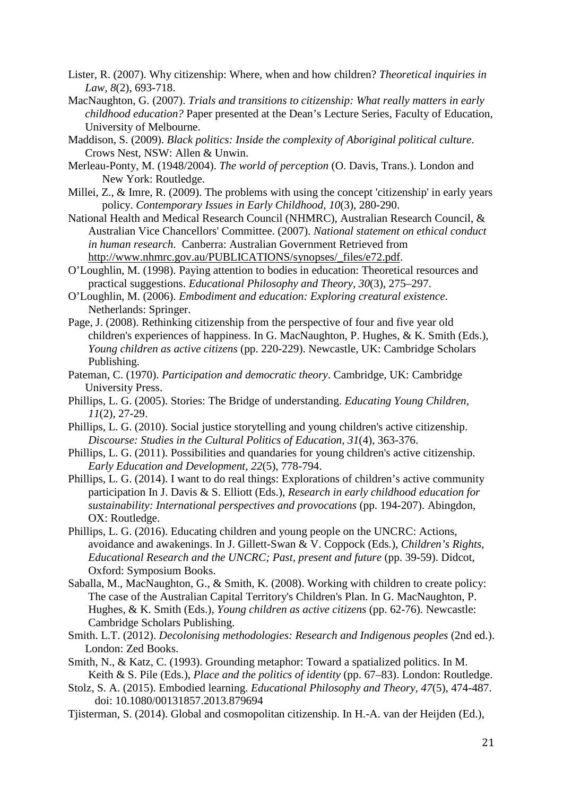- Lister, R. (2007). Why citizenship: Where, when and how children? *Theoretical inquiries in Law, 8*(2), 693-718.
- MacNaughton, G. (2007). *Trials and transitions to citizenship: What really matters in early childhood education?* Paper presented at the Dean's Lecture Series, Faculty of Education, University of Melbourne.
- Maddison, S. (2009). *Black politics: Inside the complexity of Aboriginal political culture*. Crows Nest, NSW: Allen & Unwin.
- Merleau-Ponty, M. (1948/2004). *The world of perception* (O. Davis, Trans.). London and New York: Routledge.
- Millei, Z., & Imre, R. (2009). The problems with using the concept 'citizenship' in early years policy. *Contemporary Issues in Early Childhood, 10*(3), 280-290.
- National Health and Medical Research Council (NHMRC), Australian Research Council, & Australian Vice Chancellors' Committee. (2007). *National statement on ethical conduct in human research*. Canberra: Australian Government Retrieved from [http://www.nhmrc.gov.au/PUBLICATIONS/synopses/\\_files/e72.pdf.](http://www.nhmrc.gov.au/PUBLICATIONS/synopses/_files/e72.pdf.)
- O'Loughlin, M. (1998). Paying attention to bodies in education: Theoretical resources and practical suggestions. *Educational Philosophy and Theory, 30*(3), 275–297.
- O'Loughlin, M. (2006). *Embodiment and education: Exploring creatural existence*. Netherlands: Springer.
- Page, J. (2008). Rethinking citizenship from the perspective of four and five year old children's experiences of happiness. In G. MacNaughton, P. Hughes, & K. Smith (Eds.), *Young children as active citizens* (pp. 220-229). Newcastle, UK: Cambridge Scholars Publishing.
- Pateman, C. (1970). *Participation and democratic theory*. Cambridge, UK: Cambridge University Press.
- Phillips, L. G. (2005). Stories: The Bridge of understanding. *Educating Young Children, 11*(2), 27-29.
- Phillips, L. G. (2010). Social justice storytelling and young children's active citizenship. *Discourse: Studies in the Cultural Politics of Education, 31*(4), 363-376.
- Phillips, L. G. (2011). Possibilities and quandaries for young children's active citizenship. *Early Education and Development, 22*(5), 778-794.
- Phillips, L. G. (2014). I want to do real things: Explorations of children's active community participation In J. Davis & S. Elliott (Eds.), *Research in early childhood education for sustainability: International perspectives and provocations* (pp. 194-207). Abingdon, OX: Routledge.
- Phillips, L. G. (2016). Educating children and young people on the UNCRC: Actions, avoidance and awakenings. In J. Gillett-Swan & V. Coppock (Eds.), *Children's Rights, Educational Research and the UNCRC; Past, present and future* (pp. 39-59). Didcot, Oxford: Symposium Books.
- Saballa, M., MacNaughton, G., & Smith, K. (2008). Working with children to create policy: The case of the Australian Capital Territory's Children's Plan. In G. MacNaughton, P. Hughes, & K. Smith (Eds.), *Young children as active citizens* (pp. 62-76). Newcastle: Cambridge Scholars Publishing.
- Smith. L.T. (2012). *Decolonising methodologies: Research and Indigenous peoples* (2nd ed.). London: Zed Books.
- Smith, N., & Katz, C. (1993). Grounding metaphor: Toward a spatialized politics. In M. Keith & S. Pile (Eds.), *Place and the politics of identity* (pp. 67–83). London: Routledge.
- Stolz, S. A. (2015). Embodied learning. *Educational Philosophy and Theory, 47*(5), 474-487. doi: 10.1080/00131857.2013.879694
- Tjisterman, S. (2014). Global and cosmopolitan citizenship. In H.-A. van der Heijden (Ed.),